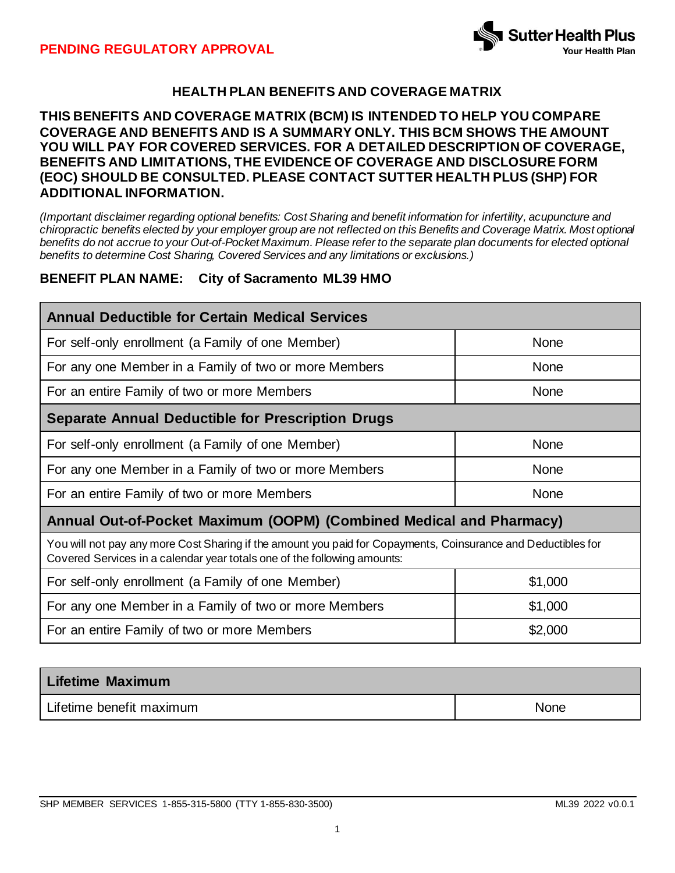

# **HEALTH PLAN BENEFITS AND COVERAGE MATRIX**

### **THIS BENEFITS AND COVERAGE MATRIX (BCM) IS INTENDED TO HELP YOU COMPARE COVERAGE AND BENEFITS AND IS A SUMMARY ONLY. THIS BCM SHOWS THE AMOUNT YOU WILL PAY FOR COVERED SERVICES. FOR A DETAILED DESCRIPTION OF COVERAGE, BENEFITS AND LIMITATIONS, THE EVIDENCE OF COVERAGE AND DISCLOSURE FORM (EOC) SHOULD BE CONSULTED. PLEASE CONTACT SUTTER HEALTH PLUS (SHP) FOR ADDITIONAL INFORMATION.**

*(Important disclaimer regarding optional benefits: Cost Sharing and benefit information for infertility, acupuncture and chiropractic benefits elected by your employer group are not reflected on this Benefits and Coverage Matrix. Most optional benefits do not accrue to your Out-of-Pocket Maximum. Please refer to the separate plan documents for elected optional benefits to determine Cost Sharing, Covered Services and any limitations or exclusions.)*

### **BENEFIT PLAN NAME: City of Sacramento ML39 HMO**

| <b>Annual Deductible for Certain Medical Services</b>                                                                                                                                     |             |  |  |
|-------------------------------------------------------------------------------------------------------------------------------------------------------------------------------------------|-------------|--|--|
| For self-only enrollment (a Family of one Member)                                                                                                                                         | None        |  |  |
| For any one Member in a Family of two or more Members                                                                                                                                     | <b>None</b> |  |  |
| For an entire Family of two or more Members                                                                                                                                               | <b>None</b> |  |  |
| <b>Separate Annual Deductible for Prescription Drugs</b>                                                                                                                                  |             |  |  |
| For self-only enrollment (a Family of one Member)                                                                                                                                         | None        |  |  |
| For any one Member in a Family of two or more Members                                                                                                                                     | <b>None</b> |  |  |
| For an entire Family of two or more Members                                                                                                                                               | <b>None</b> |  |  |
| Annual Out-of-Pocket Maximum (OOPM) (Combined Medical and Pharmacy)                                                                                                                       |             |  |  |
| You will not pay any more Cost Sharing if the amount you paid for Copayments, Coinsurance and Deductibles for<br>Covered Services in a calendar year totals one of the following amounts: |             |  |  |
| For self-only enrollment (a Family of one Member)                                                                                                                                         | \$1,000     |  |  |
| For any one Member in a Family of two or more Members                                                                                                                                     | \$1,000     |  |  |
| For an entire Family of two or more Members                                                                                                                                               | \$2,000     |  |  |

| <b>Lifetime Maximum</b>  |             |
|--------------------------|-------------|
| Lifetime benefit maximum | <b>None</b> |

SHP MEMBER SERVICES 1-855-315-5800 (TTY 1-855-830-3500) ML39 2022 v0.0.1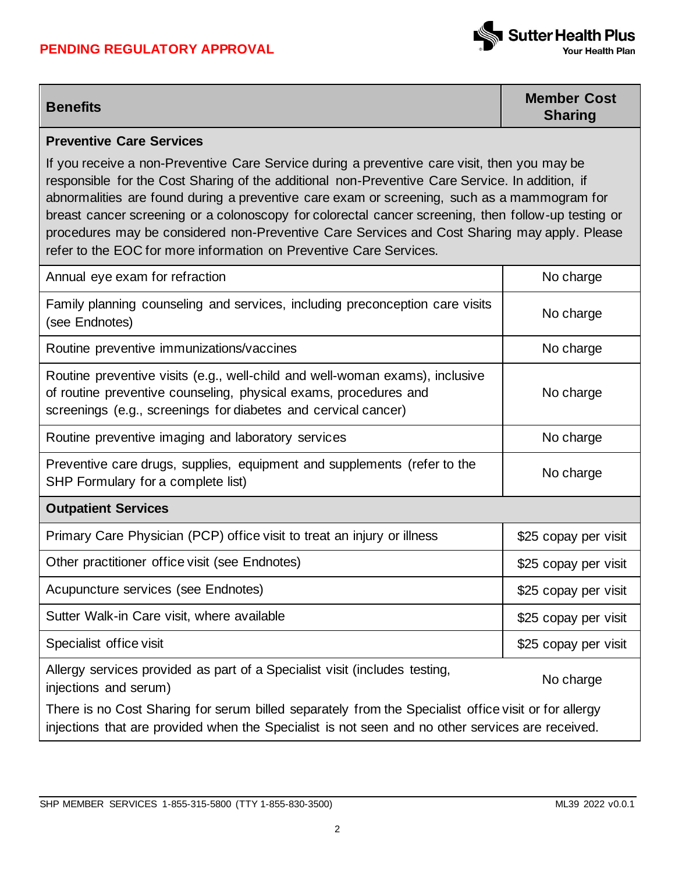## **PENDING REGULATORY APPROVAL**



**Benefits Member Cost Sharing**

### **Preventive Care Services**

If you receive a non-Preventive Care Service during a preventive care visit, then you may be responsible for the Cost Sharing of the additional non-Preventive Care Service. In addition, if abnormalities are found during a preventive care exam or screening, such as a mammogram for breast cancer screening or a colonoscopy for colorectal cancer screening, then follow-up testing or procedures may be considered non-Preventive Care Services and Cost Sharing may apply. Please refer to the EOC for more information on Preventive Care Services.

| Annual eye exam for refraction                                                                                                                                                                                     | No charge            |
|--------------------------------------------------------------------------------------------------------------------------------------------------------------------------------------------------------------------|----------------------|
| Family planning counseling and services, including preconception care visits<br>(see Endnotes)                                                                                                                     | No charge            |
| Routine preventive immunizations/vaccines                                                                                                                                                                          | No charge            |
| Routine preventive visits (e.g., well-child and well-woman exams), inclusive<br>of routine preventive counseling, physical exams, procedures and<br>screenings (e.g., screenings for diabetes and cervical cancer) | No charge            |
| Routine preventive imaging and laboratory services                                                                                                                                                                 | No charge            |
| Preventive care drugs, supplies, equipment and supplements (refer to the<br>SHP Formulary for a complete list)                                                                                                     | No charge            |
|                                                                                                                                                                                                                    |                      |
| <b>Outpatient Services</b>                                                                                                                                                                                         |                      |
| Primary Care Physician (PCP) office visit to treat an injury or illness                                                                                                                                            | \$25 copay per visit |
| Other practitioner office visit (see Endnotes)                                                                                                                                                                     | \$25 copay per visit |
| Acupuncture services (see Endnotes)                                                                                                                                                                                | \$25 copay per visit |
| Sutter Walk-in Care visit, where available                                                                                                                                                                         | \$25 copay per visit |
| Specialist office visit                                                                                                                                                                                            | \$25 copay per visit |
| Allergy services provided as part of a Specialist visit (includes testing,<br>injections and serum)                                                                                                                | No charge            |

injections that are provided when the Specialist is not seen and no other services are received.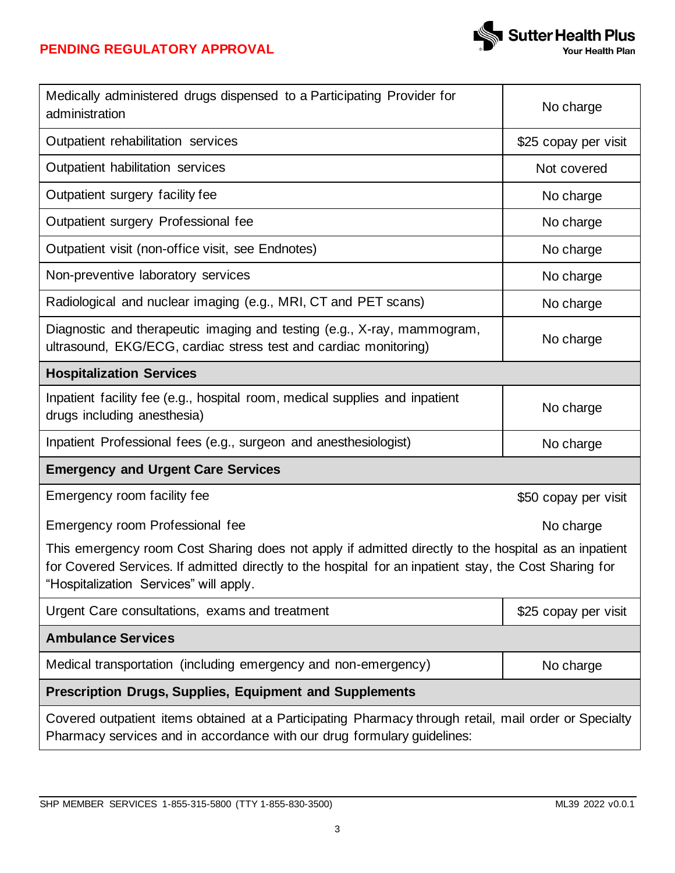

| Medically administered drugs dispensed to a Participating Provider for<br>administration                                                                                                                                                                 | No charge            |  |
|----------------------------------------------------------------------------------------------------------------------------------------------------------------------------------------------------------------------------------------------------------|----------------------|--|
| Outpatient rehabilitation services                                                                                                                                                                                                                       | \$25 copay per visit |  |
| Outpatient habilitation services                                                                                                                                                                                                                         | Not covered          |  |
| Outpatient surgery facility fee                                                                                                                                                                                                                          | No charge            |  |
| Outpatient surgery Professional fee                                                                                                                                                                                                                      | No charge            |  |
| Outpatient visit (non-office visit, see Endnotes)                                                                                                                                                                                                        | No charge            |  |
| Non-preventive laboratory services                                                                                                                                                                                                                       | No charge            |  |
| Radiological and nuclear imaging (e.g., MRI, CT and PET scans)                                                                                                                                                                                           | No charge            |  |
| Diagnostic and therapeutic imaging and testing (e.g., X-ray, mammogram,<br>ultrasound, EKG/ECG, cardiac stress test and cardiac monitoring)                                                                                                              | No charge            |  |
| <b>Hospitalization Services</b>                                                                                                                                                                                                                          |                      |  |
| Inpatient facility fee (e.g., hospital room, medical supplies and inpatient<br>drugs including anesthesia)                                                                                                                                               | No charge            |  |
| Inpatient Professional fees (e.g., surgeon and anesthesiologist)                                                                                                                                                                                         | No charge            |  |
| <b>Emergency and Urgent Care Services</b>                                                                                                                                                                                                                |                      |  |
| Emergency room facility fee                                                                                                                                                                                                                              | \$50 copay per visit |  |
| Emergency room Professional fee                                                                                                                                                                                                                          | No charge            |  |
| This emergency room Cost Sharing does not apply if admitted directly to the hospital as an inpatient<br>for Covered Services. If admitted directly to the hospital for an inpatient stay, the Cost Sharing for<br>"Hospitalization Services" will apply. |                      |  |
| Urgent Care consultations, exams and treatment                                                                                                                                                                                                           | \$25 copay per visit |  |
| <b>Ambulance Services</b>                                                                                                                                                                                                                                |                      |  |
| Medical transportation (including emergency and non-emergency)                                                                                                                                                                                           | No charge            |  |
| <b>Prescription Drugs, Supplies, Equipment and Supplements</b>                                                                                                                                                                                           |                      |  |
| Covered outpatient items obtained at a Participating Pharmacy through retail, mail order or Specialty<br>Pharmacy services and in accordance with our drug formulary guidelines:                                                                         |                      |  |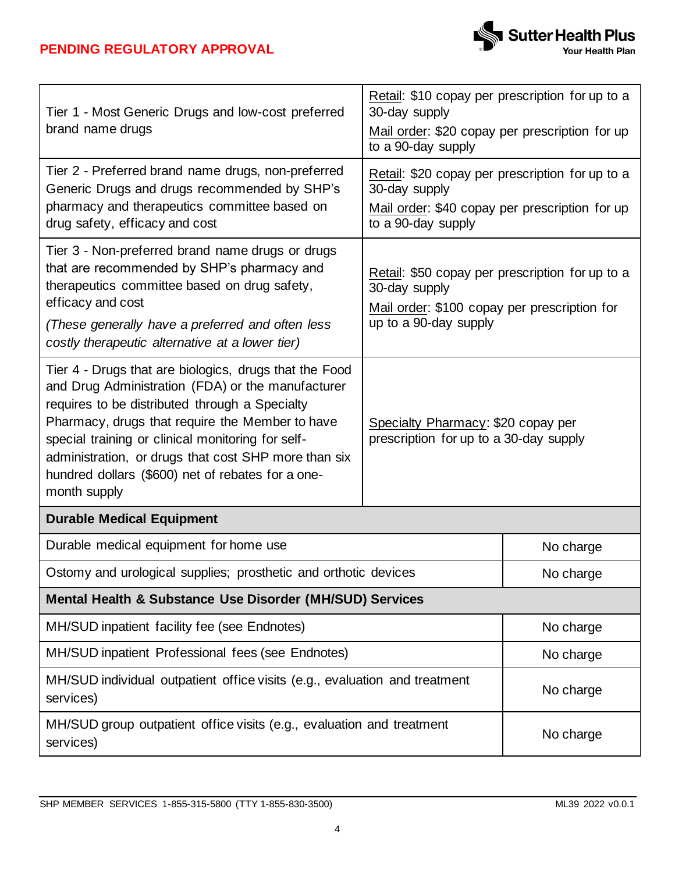

| Tier 1 - Most Generic Drugs and low-cost preferred                                                                                                                                                                                                                                                                                                                                                 | Retail: \$10 copay per prescription for up to a<br>30-day supply                                                                          |           |  |
|----------------------------------------------------------------------------------------------------------------------------------------------------------------------------------------------------------------------------------------------------------------------------------------------------------------------------------------------------------------------------------------------------|-------------------------------------------------------------------------------------------------------------------------------------------|-----------|--|
| brand name drugs                                                                                                                                                                                                                                                                                                                                                                                   | Mail order: \$20 copay per prescription for up<br>to a 90-day supply                                                                      |           |  |
| Tier 2 - Preferred brand name drugs, non-preferred<br>Generic Drugs and drugs recommended by SHP's<br>pharmacy and therapeutics committee based on                                                                                                                                                                                                                                                 | Retail: \$20 copay per prescription for up to a<br>30-day supply<br>Mail order: \$40 copay per prescription for up                        |           |  |
| drug safety, efficacy and cost                                                                                                                                                                                                                                                                                                                                                                     | to a 90-day supply                                                                                                                        |           |  |
| Tier 3 - Non-preferred brand name drugs or drugs<br>that are recommended by SHP's pharmacy and<br>therapeutics committee based on drug safety,<br>efficacy and cost                                                                                                                                                                                                                                | Retail: \$50 copay per prescription for up to a<br>30-day supply<br>Mail order: \$100 copay per prescription for<br>up to a 90-day supply |           |  |
| (These generally have a preferred and often less<br>costly therapeutic alternative at a lower tier)                                                                                                                                                                                                                                                                                                |                                                                                                                                           |           |  |
| Tier 4 - Drugs that are biologics, drugs that the Food<br>and Drug Administration (FDA) or the manufacturer<br>requires to be distributed through a Specialty<br>Pharmacy, drugs that require the Member to have<br>special training or clinical monitoring for self-<br>administration, or drugs that cost SHP more than six<br>hundred dollars (\$600) net of rebates for a one-<br>month supply | Specialty Pharmacy: \$20 copay per<br>prescription for up to a 30-day supply                                                              |           |  |
| <b>Durable Medical Equipment</b>                                                                                                                                                                                                                                                                                                                                                                   |                                                                                                                                           |           |  |
| Durable medical equipment for home use                                                                                                                                                                                                                                                                                                                                                             |                                                                                                                                           | No charge |  |
| Ostomy and urological supplies; prosthetic and orthotic devices                                                                                                                                                                                                                                                                                                                                    |                                                                                                                                           | No charge |  |
| Mental Health & Substance Use Disorder (MH/SUD) Services                                                                                                                                                                                                                                                                                                                                           |                                                                                                                                           |           |  |
| MH/SUD inpatient facility fee (see Endnotes)                                                                                                                                                                                                                                                                                                                                                       |                                                                                                                                           | No charge |  |
| MH/SUD inpatient Professional fees (see Endnotes)                                                                                                                                                                                                                                                                                                                                                  |                                                                                                                                           | No charge |  |
| MH/SUD individual outpatient office visits (e.g., evaluation and treatment<br>services)                                                                                                                                                                                                                                                                                                            |                                                                                                                                           | No charge |  |
| MH/SUD group outpatient office visits (e.g., evaluation and treatment<br>services)                                                                                                                                                                                                                                                                                                                 |                                                                                                                                           | No charge |  |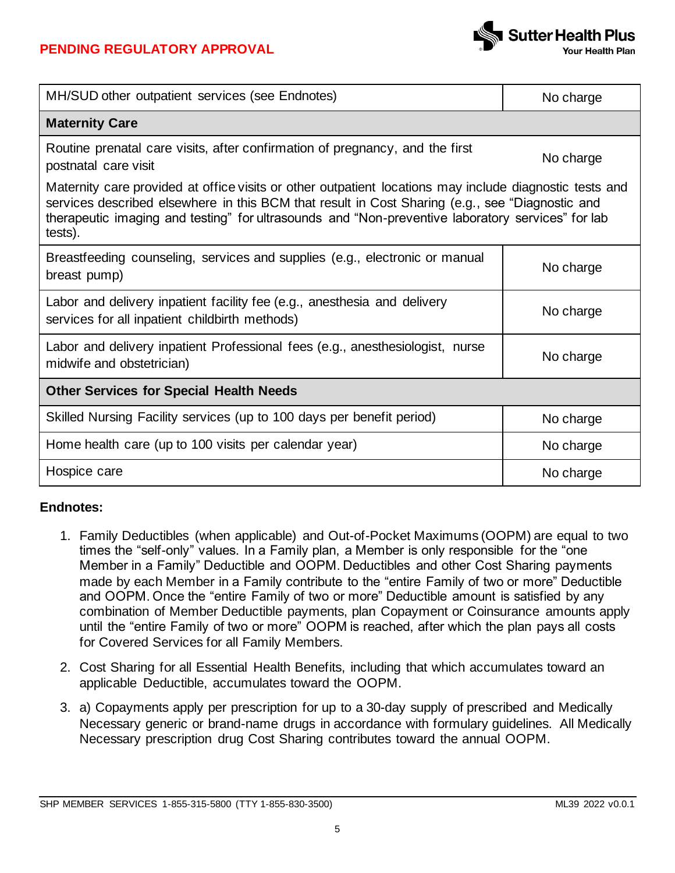

| MH/SUD other outpatient services (see Endnotes)                                                                                                                                                                                                                                                                            | No charge |  |
|----------------------------------------------------------------------------------------------------------------------------------------------------------------------------------------------------------------------------------------------------------------------------------------------------------------------------|-----------|--|
| <b>Maternity Care</b>                                                                                                                                                                                                                                                                                                      |           |  |
| Routine prenatal care visits, after confirmation of pregnancy, and the first<br>postnatal care visit                                                                                                                                                                                                                       | No charge |  |
| Maternity care provided at office visits or other outpatient locations may include diagnostic tests and<br>services described elsewhere in this BCM that result in Cost Sharing (e.g., see "Diagnostic and<br>therapeutic imaging and testing" for ultrasounds and "Non-preventive laboratory services" for lab<br>tests). |           |  |
| Breastfeeding counseling, services and supplies (e.g., electronic or manual<br>breast pump)                                                                                                                                                                                                                                | No charge |  |
| Labor and delivery inpatient facility fee (e.g., anesthesia and delivery<br>services for all inpatient childbirth methods)                                                                                                                                                                                                 | No charge |  |
| Labor and delivery inpatient Professional fees (e.g., anesthesiologist, nurse<br>midwife and obstetrician)                                                                                                                                                                                                                 | No charge |  |
| <b>Other Services for Special Health Needs</b>                                                                                                                                                                                                                                                                             |           |  |
| Skilled Nursing Facility services (up to 100 days per benefit period)                                                                                                                                                                                                                                                      | No charge |  |
| Home health care (up to 100 visits per calendar year)                                                                                                                                                                                                                                                                      | No charge |  |
| Hospice care                                                                                                                                                                                                                                                                                                               | No charge |  |

# **Endnotes:**

- 1. Family Deductibles (when applicable) and Out-of-Pocket Maximums (OOPM) are equal to two times the "self-only" values. In a Family plan, a Member is only responsible for the "one Member in a Family" Deductible and OOPM. Deductibles and other Cost Sharing payments made by each Member in a Family contribute to the "entire Family of two or more" Deductible and OOPM. Once the "entire Family of two or more" Deductible amount is satisfied by any combination of Member Deductible payments, plan Copayment or Coinsurance amounts apply until the "entire Family of two or more" OOPM is reached, after which the plan pays all costs for Covered Services for all Family Members.
- 2. Cost Sharing for all Essential Health Benefits, including that which accumulates toward an applicable Deductible, accumulates toward the OOPM.
- 3. a) Copayments apply per prescription for up to a 30-day supply of prescribed and Medically Necessary generic or brand-name drugs in accordance with formulary guidelines. All Medically Necessary prescription drug Cost Sharing contributes toward the annual OOPM.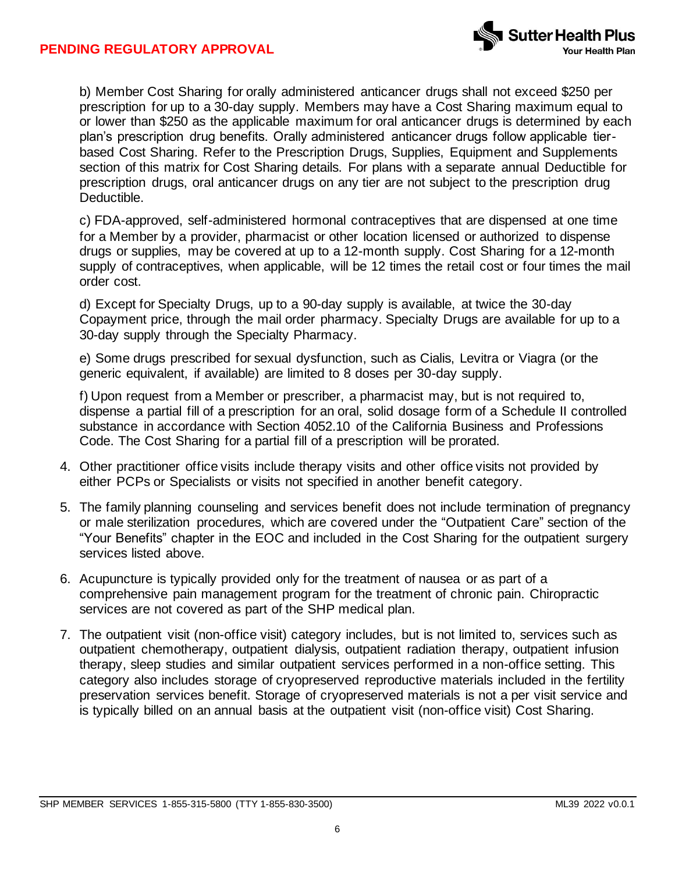

b) Member Cost Sharing for orally administered anticancer drugs shall not exceed \$250 per prescription for up to a 30-day supply. Members may have a Cost Sharing maximum equal to or lower than \$250 as the applicable maximum for oral anticancer drugs is determined by each plan's prescription drug benefits. Orally administered anticancer drugs follow applicable tierbased Cost Sharing. Refer to the Prescription Drugs, Supplies, Equipment and Supplements section of this matrix for Cost Sharing details. For plans with a separate annual Deductible for prescription drugs, oral anticancer drugs on any tier are not subject to the prescription drug Deductible.

c) FDA-approved, self-administered hormonal contraceptives that are dispensed at one time for a Member by a provider, pharmacist or other location licensed or authorized to dispense drugs or supplies, may be covered at up to a 12-month supply. Cost Sharing for a 12-month supply of contraceptives, when applicable, will be 12 times the retail cost or four times the mail order cost.

d) Except for Specialty Drugs, up to a 90-day supply is available, at twice the 30-day Copayment price, through the mail order pharmacy. Specialty Drugs are available for up to a 30-day supply through the Specialty Pharmacy.

e) Some drugs prescribed for sexual dysfunction, such as Cialis, Levitra or Viagra (or the generic equivalent, if available) are limited to 8 doses per 30-day supply.

f) Upon request from a Member or prescriber, a pharmacist may, but is not required to, dispense a partial fill of a prescription for an oral, solid dosage form of a Schedule II controlled substance in accordance with Section 4052.10 of the California Business and Professions Code. The Cost Sharing for a partial fill of a prescription will be prorated.

- 4. Other practitioner office visits include therapy visits and other office visits not provided by either PCPs or Specialists or visits not specified in another benefit category.
- 5. The family planning counseling and services benefit does not include termination of pregnancy or male sterilization procedures, which are covered under the "Outpatient Care" section of the "Your Benefits" chapter in the EOC and included in the Cost Sharing for the outpatient surgery services listed above.
- 6. Acupuncture is typically provided only for the treatment of nausea or as part of a comprehensive pain management program for the treatment of chronic pain. Chiropractic services are not covered as part of the SHP medical plan.
- 7. The outpatient visit (non-office visit) category includes, but is not limited to, services such as outpatient chemotherapy, outpatient dialysis, outpatient radiation therapy, outpatient infusion therapy, sleep studies and similar outpatient services performed in a non-office setting. This category also includes storage of cryopreserved reproductive materials included in the fertility preservation services benefit. Storage of cryopreserved materials is not a per visit service and is typically billed on an annual basis at the outpatient visit (non-office visit) Cost Sharing.